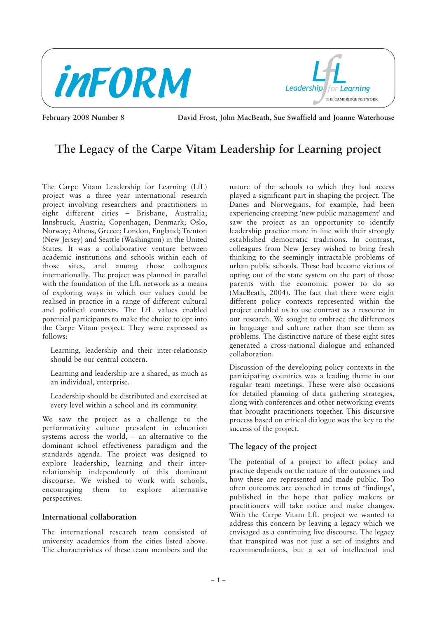



**February 2008 Number 8 David Frost, John MacBeath, Sue Swaffield and Joanne Waterhouse**

# **The Legacy of the Carpe Vitam Leadership for Learning project**

The Carpe Vitam Leadership for Learning (LfL) project was a three year international research project involving researchers and practitioners in eight different cities – Brisbane, Australia; Innsbruck, Austria; Copenhagen, Denmark; Oslo, Norway; Athens, Greece; London, England; Trenton (New Jersey) and Seattle (Washington) in the United States. It was a collaborative venture between academic institutions and schools within each of those sites, and among those colleagues internationally. The project was planned in parallel with the foundation of the LfL network as a means of exploring ways in which our values could be realised in practice in a range of different cultural and political contexts. The LfL values enabled potential participants to make the choice to opt into the Carpe Vitam project. They were expressed as follows:

Learning, leadership and their inter-relationsip should be our central concern.

Learning and leadership are a shared, as much as an individual, enterprise.

Leadership should be distributed and exercised at every level within a school and its community.

We saw the project as a challenge to the performativity culture prevalent in education systems across the world, – an alternative to the dominant school effectiveness paradigm and the standards agenda. The project was designed to explore leadership, learning and their interrelationship independently of this dominant discourse. We wished to work with schools, encouraging them to explore alternative perspectives.

### **International collaboration**

The international research team consisted of university academics from the cities listed above. The characteristics of these team members and the

nature of the schools to which they had access played a significant part in shaping the project. The Danes and Norwegians, for example, had been experiencing creeping 'new public management' and saw the project as an opportunity to identify leadership practice more in line with their strongly established democratic traditions. In contrast, colleagues from New Jersey wished to bring fresh thinking to the seemingly intractable problems of urban public schools. These had become victims of opting out of the state system on the part of those parents with the economic power to do so (MacBeath, 2004). The fact that there were eight different policy contexts represented within the project enabled us to use contrast as a resource in our research. We sought to embrace the differences in language and culture rather than see them as problems. The distinctive nature of these eight sites generated a cross-national dialogue and enhanced collaboration.

Discussion of the developing policy contexts in the participating countries was a leading theme in our regular team meetings. These were also occasions for detailed planning of data gathering strategies, along with conferences and other networking events that brought practitioners together. This discursive process based on critical dialogue was the key to the success of the project.

# **The legacy of the project**

The potential of a project to affect policy and practice depends on the nature of the outcomes and how these are represented and made public. Too often outcomes are couched in terms of 'findings', published in the hope that policy makers or practitioners will take notice and make changes. With the Carpe Vitam LfL project we wanted to address this concern by leaving a legacy which we envisaged as a continuing live discourse. The legacy that transpired was not just a set of insights and recommendations, but a set of intellectual and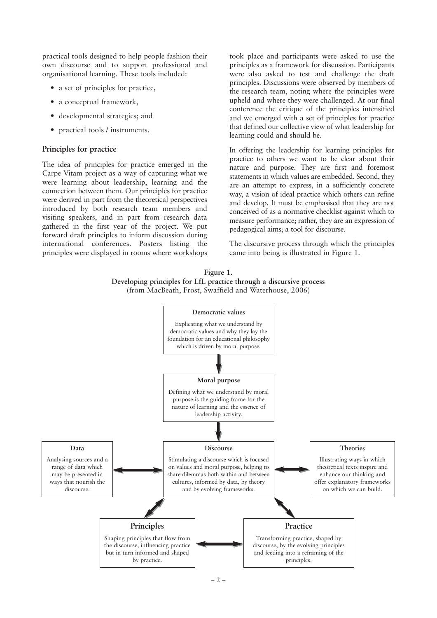practical tools designed to help people fashion their own discourse and to support professional and organisational learning. These tools included:

- a set of principles for practice,
- a conceptual framework,
- developmental strategies; and
- practical tools / instruments.

### **Principles for practice**

The idea of principles for practice emerged in the Carpe Vitam project as a way of capturing what we were learning about leadership, learning and the connection between them. Our principles for practice were derived in part from the theoretical perspectives introduced by both research team members and visiting speakers, and in part from research data gathered in the first year of the project. We put forward draft principles to inform discussion during international conferences. Posters listing the principles were displayed in rooms where workshops

took place and participants were asked to use the principles as a framework for discussion. Participants were also asked to test and challenge the draft principles. Discussions were observed by members of the research team, noting where the principles were upheld and where they were challenged. At our final conference the critique of the principles intensified and we emerged with a set of principles for practice that defined our collective view of what leadership for learning could and should be.

In offering the leadership for learning principles for practice to others we want to be clear about their nature and purpose. They are first and foremost statements in which values are embedded. Second, they are an attempt to express, in a sufficiently concrete way, a vision of ideal practice which others can refine and develop. It must be emphasised that they are not conceived of as a normative checklist against which to measure performance; rather, they are an expression of pedagogical aims; a tool for discourse.

The discursive process through which the principles came into being is illustrated in Figure 1.



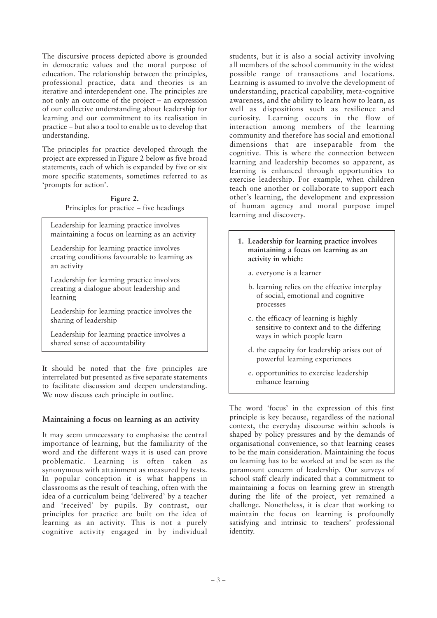The discursive process depicted above is grounded in democratic values and the moral purpose of education. The relationship between the principles, professional practice, data and theories is an iterative and interdependent one. The principles are not only an outcome of the project – an expression of our collective understanding about leadership for learning and our commitment to its realisation in practice – but also a tool to enable us to develop that understanding.

The principles for practice developed through the project are expressed in Figure 2 below as five broad statements, each of which is expanded by five or six more specific statements, sometimes referred to as 'prompts for action'.

> **Figure 2.** Principles for practice – five headings

Leadership for learning practice involves maintaining a focus on learning as an activity

Leadership for learning practice involves creating conditions favourable to learning as an activity

Leadership for learning practice involves creating a dialogue about leadership and learning

Leadership for learning practice involves the sharing of leadership

Leadership for learning practice involves a shared sense of accountability

It should be noted that the five principles are interrelated but presented as five separate statements to facilitate discussion and deepen understanding. We now discuss each principle in outline.

# **Maintaining a focus on learning as an activity**

It may seem unnecessary to emphasise the central importance of learning, but the familiarity of the word and the different ways it is used can prove problematic. Learning is often taken as synonymous with attainment as measured by tests. In popular conception it is what happens in classrooms as the result of teaching, often with the idea of a curriculum being 'delivered' by a teacher and 'received' by pupils. By contrast, our principles for practice are built on the idea of learning as an activity. This is not a purely cognitive activity engaged in by individual

students, but it is also a social activity involving all members of the school community in the widest possible range of transactions and locations. Learning is assumed to involve the development of understanding, practical capability, meta-cognitive awareness, and the ability to learn how to learn, as well as dispositions such as resilience and curiosity. Learning occurs in the flow of interaction among members of the learning community and therefore has social and emotional dimensions that are inseparable from the cognitive. This is where the connection between learning and leadership becomes so apparent, as learning is enhanced through opportunities to exercise leadership. For example, when children teach one another or collaborate to support each other's learning, the development and expression of human agency and moral purpose impel learning and discovery.

- **1. Leadership for learning practice involves maintaining a focus on learning as an activity in which:**
	- a. everyone is a learner
	- b. learning relies on the effective interplay of social, emotional and cognitive processes
	- c. the efficacy of learning is highly sensitive to context and to the differing ways in which people learn
	- d. the capacity for leadership arises out of powerful learning experiences
	- e. opportunities to exercise leadership enhance learning

The word 'focus' in the expression of this first principle is key because, regardless of the national context, the everyday discourse within schools is shaped by policy pressures and by the demands of organisational convenience, so that learning ceases to be the main consideration. Maintaining the focus on learning has to be worked at and be seen as the paramount concern of leadership. Our surveys of school staff clearly indicated that a commitment to maintaining a focus on learning grew in strength during the life of the project, yet remained a challenge. Nonetheless, it is clear that working to maintain the focus on learning is profoundly satisfying and intrinsic to teachers' professional identity.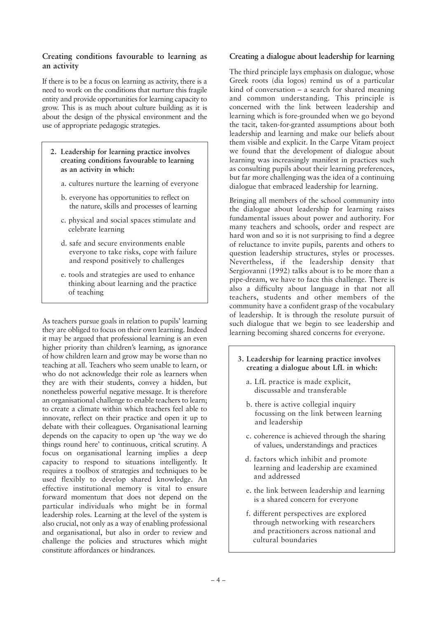# **Creating conditions favourable to learning as an activity**

If there is to be a focus on learning as activity, there is a need to work on the conditions that nurture this fragile entity and provide opportunities for learning capacity to grow. This is as much about culture building as it is about the design of the physical environment and the use of appropriate pedagogic strategies.

- **2. Leadership for learning practice involves creating conditions favourable to learning as an activity in which:**
	- a. cultures nurture the learning of everyone
	- b. everyone has opportunities to reflect on the nature, skills and processes of learning
	- c. physical and social spaces stimulate and celebrate learning
	- d. safe and secure environments enable everyone to take risks, cope with failure and respond positively to challenges
	- e. tools and strategies are used to enhance thinking about learning and the practice of teaching

As teachers pursue goals in relation to pupils' learning they are obliged to focus on their own learning. Indeed it may be argued that professional learning is an even higher priority than children's learning, as ignorance of how children learn and grow may be worse than no teaching at all. Teachers who seem unable to learn, or who do not acknowledge their role as learners when they are with their students, convey a hidden, but nonetheless powerful negative message. It is therefore an organisational challenge to enable teachers to learn; to create a climate within which teachers feel able to innovate, reflect on their practice and open it up to debate with their colleagues. Organisational learning depends on the capacity to open up 'the way we do things round here' to continuous, critical scrutiny. A focus on organisational learning implies a deep capacity to respond to situations intelligently. It requires a toolbox of strategies and techniques to be used flexibly to develop shared knowledge. An effective institutional memory is vital to ensure forward momentum that does not depend on the particular individuals who might be in formal leadership roles. Learning at the level of the system is also crucial, not only as a way of enabling professional and organisational, but also in order to review and challenge the policies and structures which might constitute affordances or hindrances.

## **Creating a dialogue about leadership for learning**

The third principle lays emphasis on dialogue, whose Greek roots (dia logos) remind us of a particular kind of conversation – a search for shared meaning and common understanding. This principle is concerned with the link between leadership and learning which is fore-grounded when we go beyond the tacit, taken-for-granted assumptions about both leadership and learning and make our beliefs about them visible and explicit. In the Carpe Vitam project we found that the development of dialogue about learning was increasingly manifest in practices such as consulting pupils about their learning preferences, but far more challenging was the idea of a continuing dialogue that embraced leadership for learning.

Bringing all members of the school community into the dialogue about leadership for learning raises fundamental issues about power and authority. For many teachers and schools, order and respect are hard won and so it is not surprising to find a degree of reluctance to invite pupils, parents and others to question leadership structures, styles or processes. Nevertheless, if the leadership density that Sergiovanni (1992) talks about is to be more than a pipe-dream, we have to face this challenge. There is also a difficulty about language in that not all teachers, students and other members of the community have a confident grasp of the vocabulary of leadership. It is through the resolute pursuit of such dialogue that we begin to see leadership and learning becoming shared concerns for everyone.

- **3. Leadership for learning practice involves creating a dialogue about LfL in which:**
	- a. LfL practice is made explicit, discussable and transferable
	- b. there is active collegial inquiry focussing on the link between learning and leadership
	- c. coherence is achieved through the sharing of values, understandings and practices
	- d. factors which inhibit and promote learning and leadership are examined and addressed
	- e. the link between leadership and learning is a shared concern for everyone
	- f. different perspectives are explored through networking with researchers and practitioners across national and cultural boundaries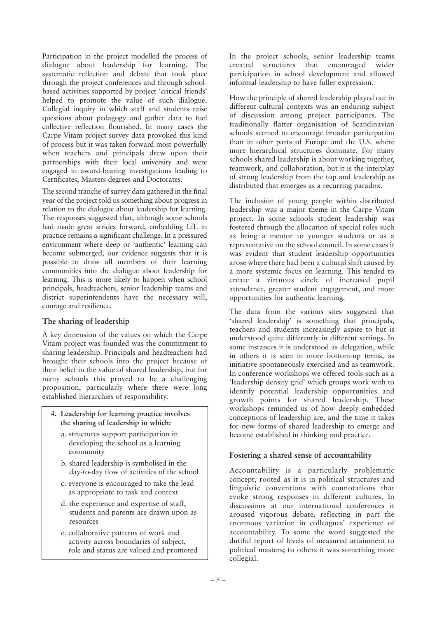Participation in the project modelled the process of dialogue about leadership for learning. The systematic reflection and debate that took place through the project conferences and through schoolbased activities supported by project 'critical friends' helped to promote the value of such dialogue. Collegial inquiry in which staff and students raise questions about pedagogy and gather data to fuel collective reflection flourished. In many cases the Carpe Vitam project survey data provoked this kind of process but it was taken forward most powerfully when teachers and principals drew upon their partnerships with their local university and were engaged in award-bearing investigations leading to Certificates, Masters degrees and Doctorates.

The second tranche of survey data gathered in the final year of the project told us something about progress in relation to the dialogue about leadership for learning. The responses suggested that, although some schools had made great strides forward, embedding LfL in practice remains a significant challenge. In a pressured environment where deep or 'authentic' learning can become submerged, our evidence suggests that it is possible to draw all members of their learning communities into the dialogue about leadership for learning. This is more likely to happen when school principals, headteachers, senior leadership teams and district superintendents have the necessary will, courage and resilience.

# **The sharing of leadership**

A key dimension of the values on which the Carpe Vitam project was founded was the commitment to sharing leadership. Principals and headteachers had brought their schools into the project because of their belief in the value of shared leadership, but for many schools this proved to be a challenging proposition, particularly where there were long established hierarchies of responsibility.

- **4. Leadership for learning practice involves the sharing of leadership in which:**
	- a. structures support participation in developing the school as a learning community
	- b. shared leadership is symbolised in the day-to-day flow of activities of the school
	- c. everyone is encouraged to take the lead as appropriate to task and context
	- d. the experience and expertise of staff, students and parents are drawn upon as resources
	- e. collaborative patterns of work and activity across boundaries of subject, role and status are valued and promoted

In the project schools, senior leadership teams created structures that encouraged wider participation in school development and allowed informal leadership to have fuller expression.

How the principle of shared leadership played out in different cultural contexts was an enduring subject of discussion among project participants. The traditionally flatter organisation of Scandinavian schools seemed to encourage broader participation than in other parts of Europe and the U.S. where more hierarchical structures dominate. For many schools shared leadership is about working together, teamwork, and collaboration, but it is the interplay of strong leadership from the top and leadership as distributed that emerges as a recurring paradox.

The inclusion of young people within distributed leadership was a major theme in the Carpe Vitam project. In some schools student leadership was fostered through the allocation of special roles such as being a mentor to younger students or as a representative on the school council. In some cases it was evident that student leadership opportunities arose where there had been a cultural shift caused by a more systemic focus on learning. This tended to create a virtuous circle of increased pupil attendance, greater student engagement, and more opportunities for authentic learning.

The data from the various sites suggested that 'shared leadership' is something that principals, teachers and students increasingly aspire to but is understood quite differently in different settings. In some instances it is understood as delegation, while in others it is seen in more bottom-up terms, as initiative spontaneously exercised and as teamwork. In conference workshops we offered tools such as a 'leadership density grid' which groups work with to identify potential leadership opportunities and growth points for shared leadership. These workshops reminded us of how deeply embedded conceptions of leadership are, and the time it takes for new forms of shared leadership to emerge and become established in thinking and practice.

# **Fostering a shared sense of accountability**

Accountability is a particularly problematic concept, rooted as it is in political structures and linguistic conventions with connotations that evoke strong responses in different cultures. In discussions at our international conferences it aroused vigorous debate, reflecting in part the enormous variation in colleagues' experience of accountability. To some the word suggested the dutiful report of levels of measured attainment to political masters; to others it was something more collegial.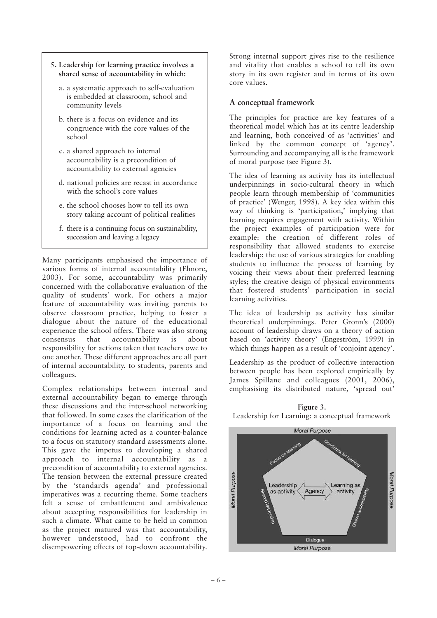#### **5. Leadership for learning practice involves a shared sense of accountability in which:**

- a. a systematic approach to self-evaluation is embedded at classroom, school and community levels
- b. there is a focus on evidence and its congruence with the core values of the school
- c. a shared approach to internal accountability is a precondition of accountability to external agencies
- d. national policies are recast in accordance with the school's core values
- e. the school chooses how to tell its own story taking account of political realities
- f. there is a continuing focus on sustainability, succession and leaving a legacy

Many participants emphasised the importance of various forms of internal accountability (Elmore, 2003). For some, accountability was primarily concerned with the collaborative evaluation of the quality of students' work. For others a major feature of accountability was inviting parents to observe classroom practice, helping to foster a dialogue about the nature of the educational experience the school offers. There was also strong consensus that accountability is about responsibility for actions taken that teachers owe to one another. These different approaches are all part of internal accountability, to students, parents and colleagues.

Complex relationships between internal and external accountability began to emerge through these discussions and the inter-school networking that followed. In some cases the clarification of the importance of a focus on learning and the conditions for learning acted as a counter-balance to a focus on statutory standard assessments alone. This gave the impetus to developing a shared approach to internal accountability as a precondition of accountability to external agencies. The tension between the external pressure created by the 'standards agenda' and professional imperatives was a recurring theme. Some teachers felt a sense of embattlement and ambivalence about accepting responsibilities for leadership in such a climate. What came to be held in common as the project matured was that accountability, however understood, had to confront the disempowering effects of top-down accountability.

Strong internal support gives rise to the resilience and vitality that enables a school to tell its own story in its own register and in terms of its own core values.

## **A conceptual framework**

The principles for practice are key features of a theoretical model which has at its centre leadership and learning, both conceived of as 'activities' and linked by the common concept of 'agency'. Surrounding and accompanying all is the framework of moral purpose (see Figure 3).

The idea of learning as activity has its intellectual underpinnings in socio-cultural theory in which people learn through membership of 'communities of practice' (Wenger, 1998). A key idea within this way of thinking is 'participation,' implying that learning requires engagement with activity. Within the project examples of participation were for example: the creation of different roles of responsibility that allowed students to exercise leadership; the use of various strategies for enabling students to influence the process of learning by voicing their views about their preferred learning styles; the creative design of physical environments that fostered students' participation in social learning activities.

The idea of leadership as activity has similar theoretical underpinnings. Peter Gronn's (2000) account of leadership draws on a theory of action based on 'activity theory' (Engeström, 1999) in which things happen as a result of 'conjoint agency'.

Leadership as the product of collective interaction between people has been explored empirically by James Spillane and colleagues (2001, 2006), emphasising its distributed nature, 'spread out'



**Figure 3.** Leadership for Learning: a conceptual framework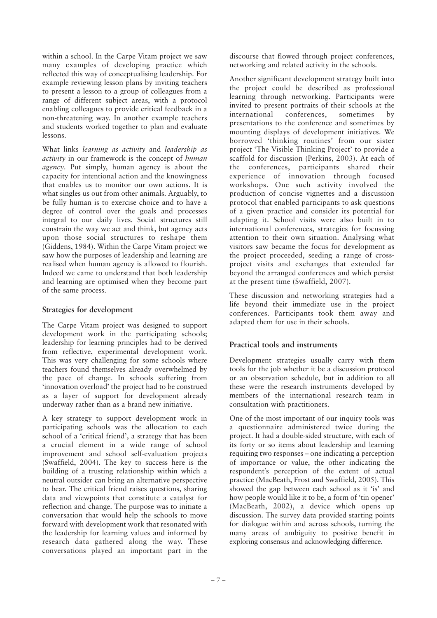within a school. In the Carpe Vitam project we saw many examples of developing practice which reflected this way of conceptualising leadership. For example reviewing lesson plans by inviting teachers to present a lesson to a group of colleagues from a range of different subject areas, with a protocol enabling colleagues to provide critical feedback in a non-threatening way. In another example teachers and students worked together to plan and evaluate lessons.

What links *learning as activity* and *leadership as activity* in our framework is the concept of *human agency*. Put simply, human agency is about the capacity for intentional action and the knowingness that enables us to monitor our own actions. It is what singles us out from other animals. Arguably, to be fully human is to exercise choice and to have a degree of control over the goals and processes integral to our daily lives. Social structures still constrain the way we act and think, but agency acts upon those social structures to reshape them (Giddens, 1984). Within the Carpe Vitam project we saw how the purposes of leadership and learning are realised when human agency is allowed to flourish. Indeed we came to understand that both leadership and learning are optimised when they become part of the same process.

### **Strategies for development**

The Carpe Vitam project was designed to support development work in the participating schools: leadership for learning principles had to be derived from reflective, experimental development work. This was very challenging for some schools where teachers found themselves already overwhelmed by the pace of change. In schools suffering from 'innovation overload' the project had to be construed as a layer of support for development already underway rather than as a brand new initiative.

A key strategy to support development work in participating schools was the allocation to each school of a 'critical friend', a strategy that has been a crucial element in a wide range of school improvement and school self-evaluation projects (Swaffield, 2004). The key to success here is the building of a trusting relationship within which a neutral outsider can bring an alternative perspective to bear. The critical friend raises questions, sharing data and viewpoints that constitute a catalyst for reflection and change. The purpose was to initiate a conversation that would help the schools to move forward with development work that resonated with the leadership for learning values and informed by research data gathered along the way. These conversations played an important part in the

discourse that flowed through project conferences, networking and related activity in the schools.

Another significant development strategy built into the project could be described as professional learning through networking. Participants were invited to present portraits of their schools at the international conferences, sometimes by presentations to the conference and sometimes by mounting displays of development initiatives. We borrowed 'thinking routines' from our sister project 'The Visible Thinking Project' to provide a scaffold for discussion (Perkins, 2003). At each of the conferences, participants shared their experience of innovation through focused workshops. One such activity involved the production of concise vignettes and a discussion protocol that enabled participants to ask questions of a given practice and consider its potential for adapting it. School visits were also built in to international conferences, strategies for focussing attention to their own situation. Analysing what visitors saw became the focus for development as the project proceeded, seeding a range of crossproject visits and exchanges that extended far beyond the arranged conferences and which persist at the present time (Swaffield, 2007).

These discussion and networking strategies had a life beyond their immediate use in the project conferences. Participants took them away and adapted them for use in their schools.

# **Practical tools and instruments**

Development strategies usually carry with them tools for the job whether it be a discussion protocol or an observation schedule, but in addition to all these were the research instruments developed by members of the international research team in consultation with practitioners.

One of the most important of our inquiry tools was a questionnaire administered twice during the project. It had a double-sided structure, with each of its forty or so items about leadership and learning requiring two responses – one indicating a perception of importance or value, the other indicating the respondent's perception of the extent of actual practice (MacBeath, Frost and Swaffield, 2005). This showed the gap between each school as it 'is' and how people would like it to be, a form of 'tin opener' (MacBeath, 2002), a device which opens up discussion. The survey data provided starting points for dialogue within and across schools, turning the many areas of ambiguity to positive benefit in exploring consensus and acknowledging difference.